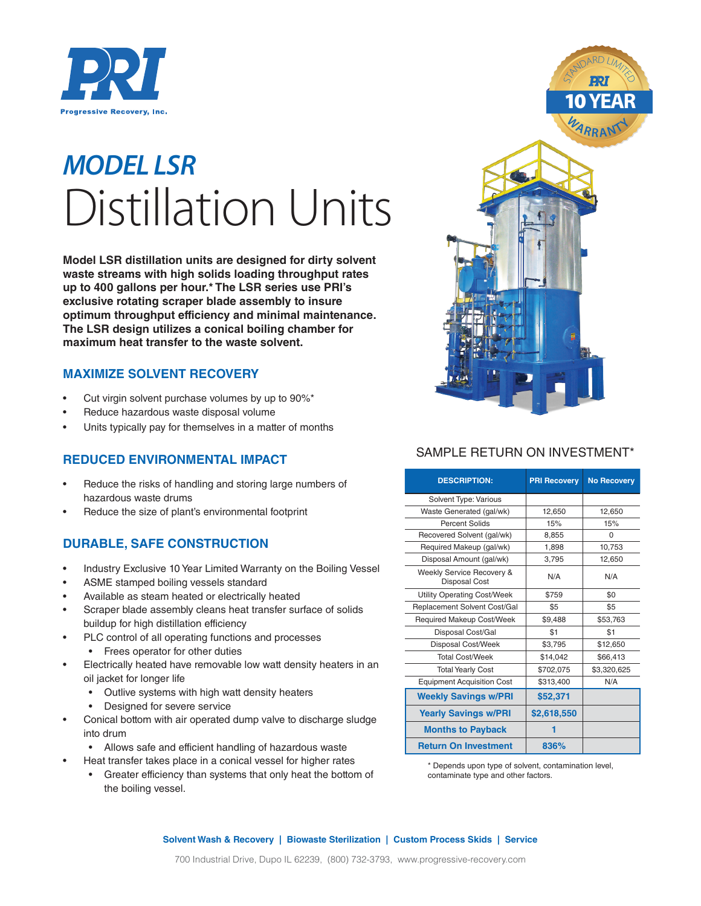

## *MODEL LSR* Distillation Units

**Model LSR distillation units are designed for dirty solvent waste streams with high solids loading throughput rates up to 400 gallons per hour.\* The LSR series use PRI's exclusive rotating scraper blade assembly to insure optimum throughput efficiency and minimal maintenance. The LSR design utilizes a conical boiling chamber for maximum heat transfer to the waste solvent.** 

#### **MAXIMIZE SOLVENT RECOVERY**

- Cut virgin solvent purchase volumes by up to 90%\*
- Reduce hazardous waste disposal volume
- Units typically pay for themselves in a matter of months

#### **REDUCED ENVIRONMENTAL IMPACT**

- Reduce the risks of handling and storing large numbers of hazardous waste drums
- Reduce the size of plant's environmental footprint

#### **DURABLE, SAFE CONSTRUCTION**

- Industry Exclusive 10 Year Limited Warranty on the Boiling Vessel
- ASME stamped boiling vessels standard
- Available as steam heated or electrically heated
- Scraper blade assembly cleans heat transfer surface of solids buildup for high distillation efficiency
- PLC control of all operating functions and processes
	- Frees operator for other duties
- Electrically heated have removable low watt density heaters in an oil jacket for longer life
	- Outlive systems with high watt density heaters
	- Designed for severe service
- Conical bottom with air operated dump valve to discharge sludge into drum
	- Allows safe and efficient handling of hazardous waste
- Heat transfer takes place in a conical vessel for higher rates
	- Greater efficiency than systems that only heat the bottom of the boiling vessel.



### SAMPLE RETURN ON INVESTMENT\*

| <b>DESCRIPTION:</b>                               | <b>PRI Recovery</b> | <b>No Recovery</b> |  |
|---------------------------------------------------|---------------------|--------------------|--|
| Solvent Type: Various                             |                     |                    |  |
| Waste Generated (gal/wk)                          | 12,650              | 12,650             |  |
| Percent Solids                                    | 15%                 | 15%                |  |
| Recovered Solvent (gal/wk)                        | 8,855               | $\Omega$           |  |
| Required Makeup (gal/wk)                          | 1,898               | 10.753             |  |
| Disposal Amount (gal/wk)                          | 3.795               | 12.650             |  |
| Weekly Service Recovery &<br><b>Disposal Cost</b> | N/A                 | N/A                |  |
| <b>Utility Operating Cost/Week</b>                | \$759               | \$0                |  |
| Replacement Solvent Cost/Gal                      | \$5                 | \$5                |  |
| <b>Required Makeup Cost/Week</b>                  | \$9,488             | \$53,763           |  |
| Disposal Cost/Gal                                 | \$1                 | \$1                |  |
| Disposal Cost/Week                                | \$3,795             | \$12,650           |  |
| <b>Total Cost/Week</b>                            | \$14.042            | \$66,413           |  |
| <b>Total Yearly Cost</b>                          | \$702,075           | \$3,320,625        |  |
| <b>Equipment Acquisition Cost</b>                 | \$313,400           | N/A                |  |
| <b>Weekly Savings w/PRI</b>                       | \$52,371            |                    |  |
| <b>Yearly Savings w/PRI</b>                       | \$2,618,550         |                    |  |
| <b>Months to Payback</b>                          |                     |                    |  |
| <b>Return On Investment</b>                       | 836%                |                    |  |

\* Depends upon type of solvent, contamination level, contaminate type and other factors.